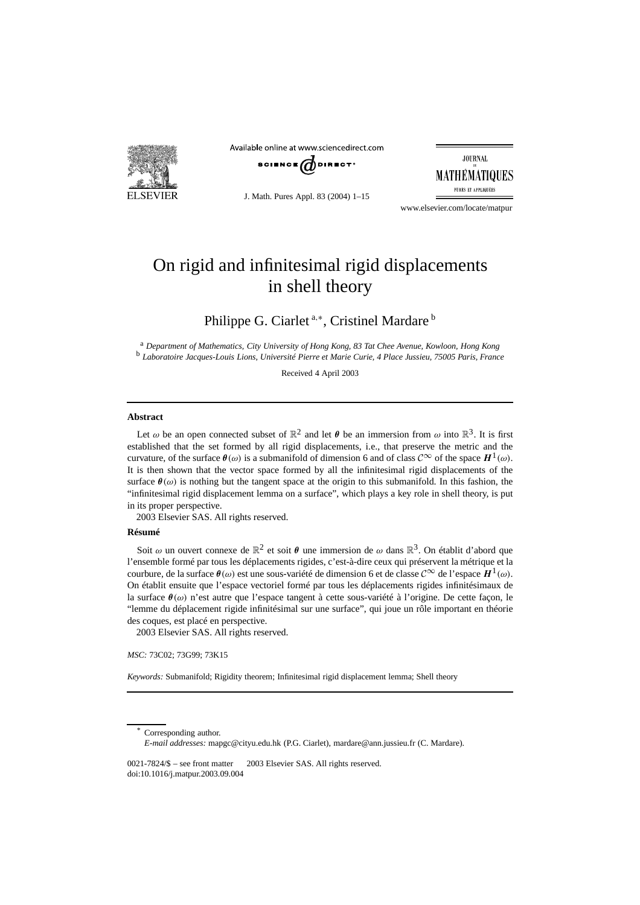

Available online at www.sciencedirect.com



J. Math. Pures Appl. 83 (2004) 1–15

**JOURNAL** MATHÉMATIOUES PURES ET APPLIQUÉES

www.elsevier.com/locate/matpur

# On rigid and infinitesimal rigid displacements in shell theory

Philippe G. Ciarlet<sup>a,∗</sup>, Cristinel Mardare<sup>b</sup>

<sup>a</sup> *Department of Mathematics, City University of Hong Kong, 83 Tat Chee Avenue, Kowloon, Hong Kong* <sup>b</sup> *Laboratoire Jacques-Louis Lions, Université Pierre et Marie Curie, 4 Place Jussieu, 75005 Paris, France*

Received 4 April 2003

#### **Abstract**

Let  $\omega$  be an open connected subset of  $\mathbb{R}^2$  and let  $\theta$  be an immersion from  $\omega$  into  $\mathbb{R}^3$ . It is first established that the set formed by all rigid displacements, i.e., that preserve the metric and the curvature, of the surface *<sup>θ</sup>(ω)* is a submanifold of dimension 6 and of class <sup>C</sup><sup>∞</sup> of the space *<sup>H</sup>*1*(ω)*. It is then shown that the vector space formed by all the infinitesimal rigid displacements of the surface  $\theta(\omega)$  is nothing but the tangent space at the origin to this submanifold. In this fashion, the "infinitesimal rigid displacement lemma on a surface", which plays a key role in shell theory, is put in its proper perspective.

2003 Elsevier SAS. All rights reserved.

# **Résumé**

Soit  $\omega$  un ouvert connexe de  $\mathbb{R}^2$  et soit  $\theta$  une immersion de  $\omega$  dans  $\mathbb{R}^3$ . On établit d'abord que l'ensemble formé par tous les déplacements rigides, c'est-à-dire ceux qui préservent la métrique et la courbure, de la surface *<sup>θ</sup>(ω)* est une sous-variété de dimension 6 et de classe <sup>C</sup><sup>∞</sup> de l'espace *<sup>H</sup>*1*(ω)*. On établit ensuite que l'espace vectoriel formé par tous les déplacements rigides infinitésimaux de la surface *θ(ω)* n'est autre que l'espace tangent à cette sous-variété à l'origine. De cette façon, le "lemme du déplacement rigide infinitésimal sur une surface", qui joue un rôle important en théorie des coques, est placé en perspective.

2003 Elsevier SAS. All rights reserved.

*MSC:* 73C02; 73G99; 73K15

*Keywords:* Submanifold; Rigidity theorem; Infinitesimal rigid displacement lemma; Shell theory

Corresponding author. *E-mail addresses:* mapgc@cityu.edu.hk (P.G. Ciarlet), mardare@ann.jussieu.fr (C. Mardare).

 $0021-7824/$$  – see front matter  $\odot$  2003 Elsevier SAS. All rights reserved. doi:10.1016/j.matpur.2003.09.004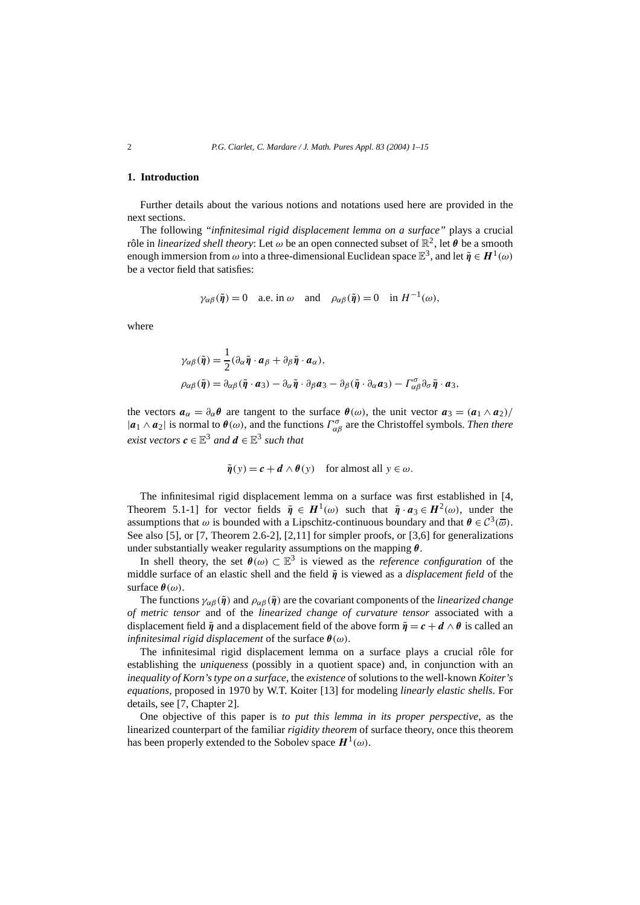# **1. Introduction**

Further details about the various notions and notations used here are provided in the next sections.

The following *"infinitesimal rigid displacement lemma on a surface"* plays a crucial rôle in *linearized shell theory*: Let  $\omega$  be an open connected subset of  $\mathbb{R}^2$ , let  $\theta$  be a smooth enough immersion from  $\omega$  into a three-dimensional Euclidean space  $\mathbb{E}^3$ , and let  $\tilde{\eta} \in H^1(\omega)$ be a vector field that satisfies:

$$
\gamma_{\alpha\beta}(\tilde{\pmb{\eta}}) = 0
$$
 a.e. in  $\omega$  and  $\rho_{\alpha\beta}(\tilde{\pmb{\eta}}) = 0$  in  $H^{-1}(\omega)$ ,

where

$$
\gamma_{\alpha\beta}(\tilde{\eta}) = \frac{1}{2} (\partial_{\alpha} \tilde{\eta} \cdot \boldsymbol{a}_{\beta} + \partial_{\beta} \tilde{\eta} \cdot \boldsymbol{a}_{\alpha}),
$$
  
\n
$$
\rho_{\alpha\beta}(\tilde{\eta}) = \partial_{\alpha\beta}(\tilde{\eta} \cdot \boldsymbol{a}_{3}) - \partial_{\alpha} \tilde{\eta} \cdot \partial_{\beta} \boldsymbol{a}_{3} - \partial_{\beta} (\tilde{\eta} \cdot \partial_{\alpha} \boldsymbol{a}_{3}) - \Gamma^{\sigma}_{\alpha\beta} \partial_{\sigma} \tilde{\eta} \cdot \boldsymbol{a}_{3},
$$

the vectors  $a_{\alpha} = \partial_{\alpha} \theta$  are tangent to the surface  $\theta(\omega)$ , the unit vector  $a_3 = (a_1 \wedge a_2)$ /  $|a_1 \wedge a_2|$  is normal to  $\theta(\omega)$ , and the functions  $\Gamma^{\sigma}_{\alpha\beta}$  are the Christoffel symbols. *Then there exist vectors*  $c \in \mathbb{E}^3$  *and*  $d \in \mathbb{E}^3$  *such that* 

$$
\tilde{\eta}(y) = c + d \wedge \theta(y)
$$
 for almost all  $y \in \omega$ .

The infinitesimal rigid displacement lemma on a surface was first established in [4, Theorem 5.1-1] for vector fields  $\tilde{\eta} \in H^1(\omega)$  such that  $\tilde{\eta} \cdot a_3 \in H^2(\omega)$ , under the assumptions that  $\omega$  is bounded with a Lipschitz-continuous boundary and that  $\theta \in C^3(\overline{\omega})$ . See also [5], or [7, Theorem 2.6-2], [2,11] for simpler proofs, or [3,6] for generalizations under substantially weaker regularity assumptions on the mapping  $\theta$ .

In shell theory, the set  $\theta(\omega) \subset \mathbb{E}^3$  is viewed as the *reference configuration* of the middle surface of an elastic shell and the field  $\tilde{\bf{\textit{n}}}$  is viewed as a *displacement field* of the surface *θ(ω)*.

The functions  $\gamma_{\alpha\beta}(\tilde{\pmb{\eta}})$  and  $\rho_{\alpha\beta}(\tilde{\pmb{\eta}})$  are the covariant components of the *linearized change of metric tensor* and of the *linearized change of curvature tensor* associated with a displacement field  $\tilde{\eta}$  and a displacement field of the above form  $\tilde{\eta} = c + d \wedge \theta$  is called an *infinitesimal rigid displacement* of the surface *θ(ω)*.

The infinitesimal rigid displacement lemma on a surface plays a crucial rôle for establishing the *uniqueness* (possibly in a quotient space) and, in conjunction with an *inequality of Korn's type on a surface*, the *existence* of solutions to the well-known *Koiter's equations*, proposed in 1970 by W.T. Koiter [13] for modeling *linearly elastic shells*. For details, see [7, Chapter 2].

One objective of this paper is *to put this lemma in its proper perspective*, as the linearized counterpart of the familiar *rigidity theorem* of surface theory, once this theorem has been properly extended to the Sobolev space  $H^1(\omega)$ .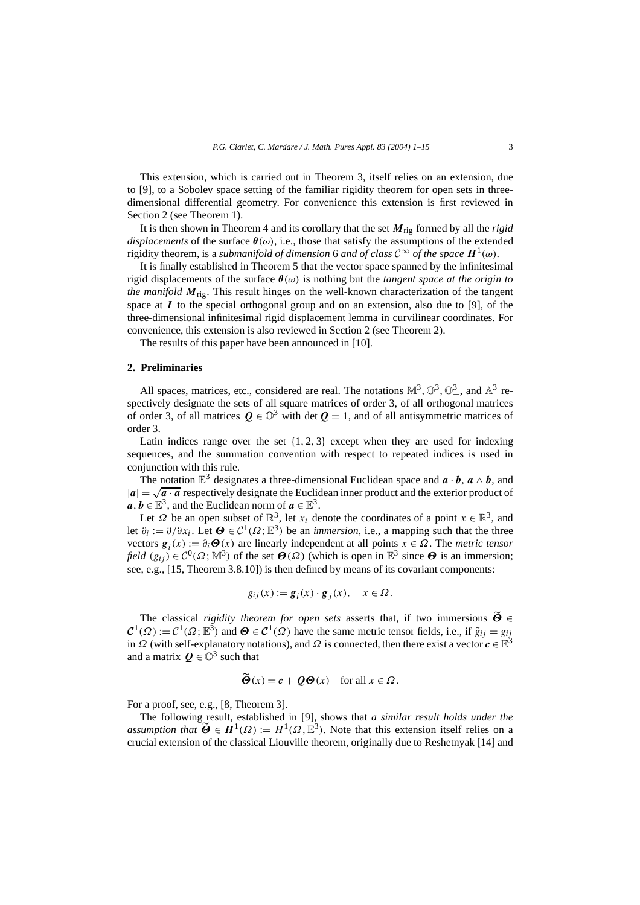This extension, which is carried out in Theorem 3, itself relies on an extension, due to [9], to a Sobolev space setting of the familiar rigidity theorem for open sets in threedimensional differential geometry. For convenience this extension is first reviewed in Section 2 (see Theorem 1).

It is then shown in Theorem 4 and its corollary that the set *M*rig formed by all the *rigid displacements* of the surface  $\theta(\omega)$ , i.e., those that satisfy the assumptions of the extended rigidity theorem, is a *submanifold of dimension* 6 *and of class*  $C^{\infty}$  *of the space*  $H^1(\omega)$ *.* 

It is finally established in Theorem 5 that the vector space spanned by the infinitesimal rigid displacements of the surface *θ(ω)* is nothing but the *tangent space at the origin to the manifold*  $M_{\text{ris}}$ . This result hinges on the well-known characterization of the tangent space at *I* to the special orthogonal group and on an extension, also due to [9], of the three-dimensional infinitesimal rigid displacement lemma in curvilinear coordinates. For convenience, this extension is also reviewed in Section 2 (see Theorem 2).

The results of this paper have been announced in [10].

## **2. Preliminaries**

All spaces, matrices, etc., considered are real. The notations  $M^3$ ,  $\mathbb{O}^3$ ,  $\mathbb{O}^3_+$ , and  $\mathbb{A}^3$  respectively designate the sets of all square matrices of order 3, of all orthogonal matrices of order 3, of all matrices  $Q \in \mathbb{O}^3$  with det  $Q = 1$ , and of all antisymmetric matrices of order 3.

Latin indices range over the set  $\{1, 2, 3\}$  except when they are used for indexing sequences, and the summation convention with respect to repeated indices is used in conjunction with this rule.

The notation  $\mathbb{E}^3$  designates a three-dimensional Euclidean space and  $\mathbf{a} \cdot \mathbf{b}$ ,  $\mathbf{a} \wedge \mathbf{b}$ , and  $|a| = \sqrt{a \cdot a}$  respectively designate the Euclidean inner product and the exterior product of  $a, b \in \mathbb{E}^{3}$ , and the Euclidean norm of  $a \in \mathbb{E}^{3}$ .

Let  $\Omega$  be an open subset of  $\mathbb{R}^3$ , let  $x_i$  denote the coordinates of a point  $x \in \mathbb{R}^3$ , and let  $\partial_i := \partial/\partial x_i$ . Let  $\Theta \in C^1(\Omega; \mathbb{E}^3)$  be an *immersion*, i.e., a mapping such that the three vectors  $g_i(x) := \partial_i \Theta(x)$  are linearly independent at all points  $x \in \Omega$ . The *metric tensor field*  $(g_{ij}) \in C^0(\Omega; \mathbb{M}^3)$  of the set  $\Theta(\Omega)$  (which is open in  $\mathbb{E}^3$  since  $\Theta$  is an immersion; see, e.g., [15, Theorem 3.8.10]) is then defined by means of its covariant components:

$$
g_{ij}(x) := \mathbf{g}_i(x) \cdot \mathbf{g}_j(x), \quad x \in \Omega.
$$

The classical *rigidity theorem for open sets* asserts that, if two immersions *Θ* ∈  $\mathcal{C}^1(\Omega) := \mathcal{C}^1(\Omega; \mathbb{B}^3)$  and  $\Theta \in \mathcal{C}^1(\Omega)$  have the same metric tensor fields, i.e., if  $\tilde{g}_{ij} = g_{ij}$ in *Ω* (with self-explanatory notations), and *Ω* is connected, then there exist a vector  $c \in \mathbb{E}^3$ and a matrix  $Q \in \mathbb{O}^3$  such that

$$
\ddot{\boldsymbol{\Theta}}(x) = \boldsymbol{c} + \boldsymbol{Q}\boldsymbol{\Theta}(x) \quad \text{for all } x \in \Omega.
$$

For a proof, see, e.g., [8, Theorem 3].

The following result, established in [9], shows that *a similar result holds under the assumption that*  $\widetilde{\Theta} \in H^1(\Omega) := H^1(\Omega, \mathbb{E}^3)$ . Note that this extension itself relies on a crucial extension of the classical Liouville theorem, originally due to Reshetnyak [14] and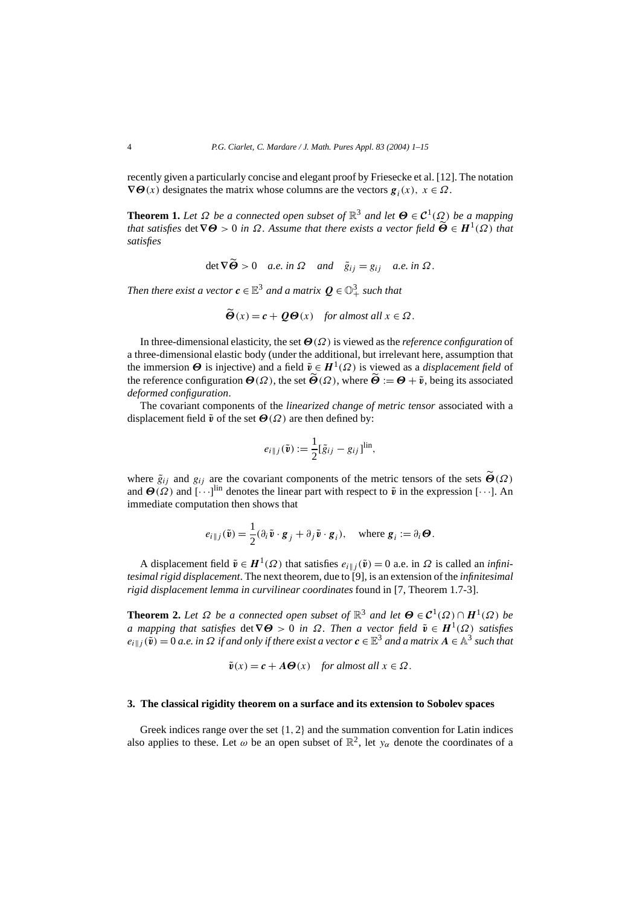recently given a particularly concise and elegant proof by Friesecke et al. [12]. The notation  $\nabla$ *Θ*(*x*) designates the matrix whose columns are the vectors  $g_i(x)$ ,  $x \in \Omega$ .

**Theorem 1.** *Let*  $\Omega$  *be a connected open subset of*  $\mathbb{R}^3$  *and let*  $\Theta \in C^1(\Omega)$  *be a mapping that satisfies* det  $\nabla\Theta > 0$  *in*  $\Omega$ *. Assume that there exists a vector field*  $\widetilde{\Theta} \in H^1(\Omega)$  *that satisfies*

$$
\det \nabla \Theta > 0 \quad a.e. \text{ in } \Omega \quad \text{and} \quad \tilde{g}_{ij} = g_{ij} \quad a.e. \text{ in } \Omega.
$$

Then there exist a vector  $\pmb{c} \in \mathbb{E}^{3}$  and a matrix  $\pmb{Q} \in \mathbb{O}_{+}^{3}$  such that

$$
\tilde{\boldsymbol{\Theta}}(x) = \boldsymbol{c} + \boldsymbol{Q}\boldsymbol{\Theta}(x) \quad \text{for almost all } x \in \Omega.
$$

In three-dimensional elasticity, the set *Θ(Ω)* is viewed as the *reference configuration* of a three-dimensional elastic body (under the additional, but irrelevant here, assumption that the immersion  $\Theta$  is injective) and a field  $\tilde{v} \in H^1(\Omega)$  is viewed as a *displacement field* of the reference configuration  $\Theta(\Omega)$ , the set  $\tilde{\Theta}(\Omega)$ , where  $\tilde{\Theta} := \Theta + \tilde{v}$ , being its associated *deformed configuration*.

The covariant components of the *linearized change of metric tensor* associated with a displacement field  $\tilde{v}$  of the set  $\Theta(\Omega)$  are then defined by:

$$
e_{i\parallel j}(\tilde{\mathbf{v}}):=\frac{1}{2}[\tilde{g}_{ij}-g_{ij}]^{\text{lin}},
$$

where  $\tilde{g}_{ij}$  and  $g_{ij}$  are the covariant components of the metric tensors of the sets  $\tilde{\Theta}(\Omega)$ and  $\Theta(\Omega)$  and  $[\cdots]^{lin}$  denotes the linear part with respect to  $\tilde{v}$  in the expression  $[\cdots]$ . An immediate computation then shows that

$$
e_{i\parallel j}(\tilde{\mathbf{v}}) = \frac{1}{2}(\partial_i \tilde{\mathbf{v}} \cdot \mathbf{g}_j + \partial_j \tilde{\mathbf{v}} \cdot \mathbf{g}_i), \quad \text{where } \mathbf{g}_i := \partial_i \boldsymbol{\Theta}.
$$

A displacement field  $\tilde{v} \in H^1(\Omega)$  that satisfies  $e_{i||j}(\tilde{v}) = 0$  a.e. in  $\Omega$  is called an *infinitesimal rigid displacement*. The next theorem, due to [9], is an extension of the *infinitesimal rigid displacement lemma in curvilinear coordinates* found in [7, Theorem 1.7-3].

**Theorem 2.** Let  $\Omega$  be a connected open subset of  $\mathbb{R}^3$  and let  $\Theta \in C^1(\Omega) \cap H^1(\Omega)$  be *a* mapping that satisfies det $\nabla\Theta > 0$  in  $\Omega$ . Then a vector field  $\tilde{v} \in H^1(\Omega)$  satisfies  $e_{i||j}(\tilde{\mathbf{v}}) = 0$  *a.e. in*  $\Omega$  *if and only if there exist a vector*  $c \in \mathbb{E}^3$  *and a matrix*  $A \in \mathbb{A}^3$  *such that* 

$$
\tilde{\mathbf{v}}(x) = \mathbf{c} + A\Theta(x)
$$
 for almost all  $x \in \Omega$ .

## **3. The classical rigidity theorem on a surface and its extension to Sobolev spaces**

Greek indices range over the set {1*,* 2} and the summation convention for Latin indices also applies to these. Let  $\omega$  be an open subset of  $\mathbb{R}^2$ , let  $y_\alpha$  denote the coordinates of a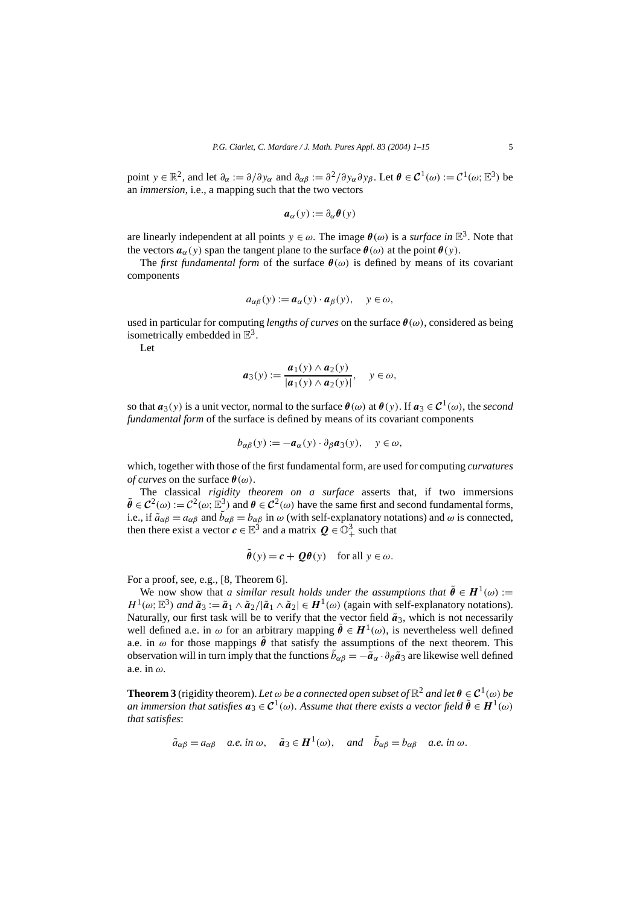point  $y \in \mathbb{R}^2$ , and let  $\partial_\alpha := \partial/\partial y_\alpha$  and  $\partial_\alpha \beta := \partial^2/\partial y_\alpha \partial y_\beta$ . Let  $\theta \in C^1(\omega) := C^1(\omega; \mathbb{E}^3)$  be an *immersion*, i.e., a mapping such that the two vectors

$$
a_{\alpha}(y) := \partial_{\alpha} \theta(y)
$$

are linearly independent at all points  $y \in \omega$ . The image  $\theta(\omega)$  is a *surface in*  $\mathbb{E}^3$ . Note that the vectors  $a_\alpha(y)$  span the tangent plane to the surface  $\theta(\omega)$  at the point  $\theta(y)$ .

The *first fundamental form* of the surface  $\theta(\omega)$  is defined by means of its covariant components

$$
a_{\alpha\beta}(y) := \boldsymbol{a}_{\alpha}(y) \cdot \boldsymbol{a}_{\beta}(y), \quad y \in \omega,
$$

used in particular for computing *lengths of curves* on the surface  $\theta(\omega)$ , considered as being isometrically embedded in  $\mathbb{E}^3$ .

Let

$$
\boldsymbol{a}_3(y) := \frac{\boldsymbol{a}_1(y) \wedge \boldsymbol{a}_2(y)}{|\boldsymbol{a}_1(y) \wedge \boldsymbol{a}_2(y)|}, \quad y \in \omega,
$$

so that  $a_3(y)$  is a unit vector, normal to the surface  $\theta(\omega)$  at  $\theta(y)$ . If  $a_3 \in C^1(\omega)$ , the *second fundamental form* of the surface is defined by means of its covariant components

$$
b_{\alpha\beta}(y) := -a_{\alpha}(y) \cdot \partial_{\beta} a_3(y), \quad y \in \omega,
$$

which, together with those of the first fundamental form, are used for computing *curvatures of curves* on the surface  $\theta(\omega)$ .<br>The classical *rigidity theorem on a surface* asserts that, if two immersions

The classical *rigidity theorem on a surface* asserts that, if two immersions  $\tilde{\theta} \in C^2(\omega) := C^2(\omega; \mathbb{E}^3)$  and  $\theta \in C^2(\omega)$  have the same first and second fundamental forms, i.e., if  $\tilde{a}_{\alpha\beta} = a_{\alpha\beta}$  and  $\tilde{b}_{\alpha\beta} = b_{\alpha\beta}$  in  $\omega$  (with self-explanatory notations) and  $\omega$  is connected, then there exist a vector  $\pmb{c} \in \mathbb{E}^{3}$  and a matrix  $\pmb{Q} \in \mathbb{O}^{3}_{+}$  such that

$$
\tilde{\boldsymbol{\theta}}(y) = \boldsymbol{c} + \boldsymbol{Q}\boldsymbol{\theta}(y)
$$
 for all  $y \in \omega$ .

For a proof, see, e.g., [8, Theorem 6].

We now show that *a similar result holds under the assumptions that*  $\tilde{\theta} \in H^1(\omega)$  :=  $H^1(\omega; \mathbb{E}^3)$  *and*  $\tilde{a}_3 := \tilde{a}_1 \wedge \tilde{a}_2 / |\tilde{a}_1 \wedge \tilde{a}_2| \in H^1(\omega)$  (again with self-explanatory notations). Naturally, our first task will be to verify that the vector field  $\tilde{a}_3$ , which is not necessarily well defined a.e. in  $\omega$  for an arbitrary mapping  $\tilde{\theta} \in H^1(\omega)$ , is nevertheless well defined a.e. in  $\omega$  for those mappings  $\tilde{\theta}$  that satisfy the assumptions of the next theorem. This observation will in turn imply that the functions  $\tilde{b}_{\alpha\beta} = -\tilde{a}_{\alpha} \cdot \partial_{\beta} \tilde{a}_3$  are likewise well defined a.e. in *ω*.

**Theorem 3** (rigidity theorem). Let  $\omega$  be a connected open subset of  $\mathbb{R}^2$  and let  $\theta \in C^1(\omega)$  be *an immersion that satisfies*  $a_3 \in C^1(\omega)$ . Assume that there exists a vector field  $\tilde{\theta} \in H^1(\omega)$ *that satisfies*:

$$
\tilde{a}_{\alpha\beta} = a_{\alpha\beta}
$$
 a.e. in  $\omega$ ,  $\tilde{a}_3 \in H^1(\omega)$ , and  $\tilde{b}_{\alpha\beta} = b_{\alpha\beta}$  a.e. in  $\omega$ .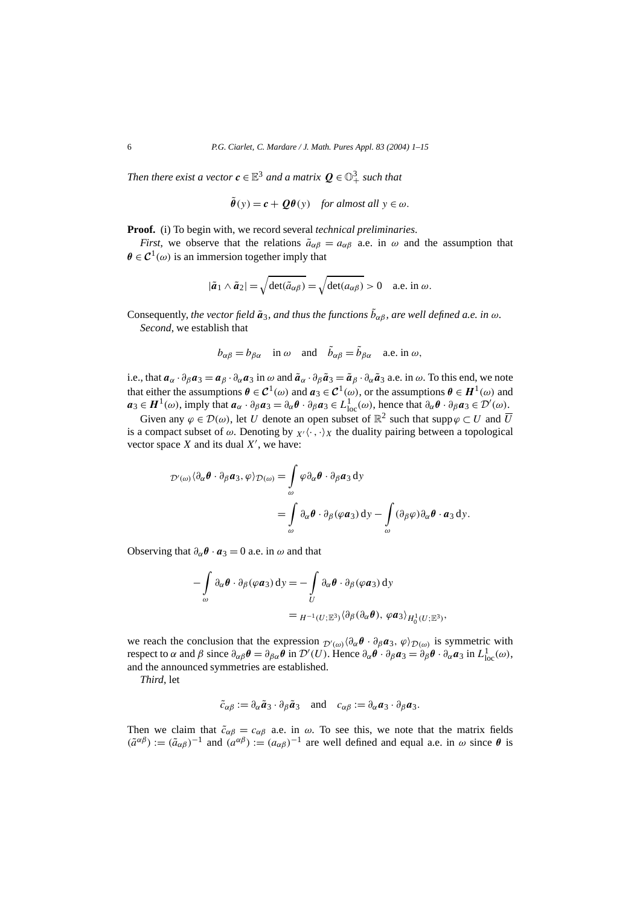Then there exist a vector  $\pmb{c} \in \mathbb{E}^{3}$  and a matrix  $\pmb{Q} \in \mathbb{O}_{+}^{3}$  such that

$$
\tilde{\boldsymbol{\theta}}(y) = \boldsymbol{c} + \boldsymbol{Q}\boldsymbol{\theta}(y)
$$
 for almost all  $y \in \omega$ .

**Proof.** (i) To begin with, we record several *technical preliminaries*.

*First*, we observe that the relations  $\tilde{a}_{\alpha\beta} = a_{\alpha\beta}$  a.e. in  $\omega$  and the assumption that  $\theta \in C^1(\omega)$  is an immersion together imply that

$$
|\tilde{a}_1 \wedge \tilde{a}_2| = \sqrt{\det(\tilde{a}_{\alpha\beta})} = \sqrt{\det(a_{\alpha\beta})} > 0 \quad \text{a.e. in } \omega.
$$

Consequently, *the vector field*  $\tilde{a}_3$ *, and thus the functions*  $\bar{b}_{\alpha\beta}$ *, are well defined a.e. in*  $\omega$ *. Second*, we establish that

$$
b_{\alpha\beta} = b_{\beta\alpha}
$$
 in  $\omega$  and  $\tilde{b}_{\alpha\beta} = \tilde{b}_{\beta\alpha}$  a.e. in  $\omega$ ,

i.e., that  $a_{\alpha} \cdot \partial_{\beta} a_3 = a_{\beta} \cdot \partial_{\alpha} a_3$  in  $\omega$  and  $\tilde{a}_{\alpha} \cdot \partial_{\beta} \tilde{a}_3 = \tilde{a}_{\beta} \cdot \partial_{\alpha} \tilde{a}_3$  a.e. in  $\omega$ . To this end, we note that either the assumptions  $\theta \in C^1(\omega)$  and  $a_3 \in C^1(\omega)$ , or the assumptions  $\theta \in H^1(\omega)$  and  $a_3 \in H^1(\omega)$ , imply that  $a_\alpha \cdot \partial_\beta a_3 = \partial_\alpha \theta \cdot \partial_\beta a_3 \in L^1_{loc}(\omega)$ , hence that  $\partial_\alpha \theta \cdot \partial_\beta a_3 \in \mathcal{D}'(\omega)$ .

Given any  $\varphi \in \mathcal{D}(\omega)$ , let *U* denote an open subset of  $\mathbb{R}^2$  such that supp $\varphi \subset U$  and  $\overline{U}$ is a compact subset of  $\omega$ . Denoting by  $\chi$ <sup>*,*</sup> $\langle \cdot, \cdot \rangle$ <sub>*X*</sub> the duality pairing between a topological vector space  $X$  and its dual  $X'$ , we have:

$$
\mathcal{D}'(\omega)\langle\partial_{\alpha}\theta\cdot\partial_{\beta}a_3,\varphi\rangle_{\mathcal{D}(\omega)} = \int_{\omega}\varphi\partial_{\alpha}\theta\cdot\partial_{\beta}a_3\,dy
$$
  
= 
$$
\int_{\omega}\partial_{\alpha}\theta\cdot\partial_{\beta}(\varphi a_3)\,dy - \int_{\omega}(\partial_{\beta}\varphi)\partial_{\alpha}\theta\cdot a_3\,dy.
$$

Observing that  $\partial_{\alpha} \theta \cdot \mathbf{a}_3 = 0$  a.e. in  $\omega$  and that

$$
-\int_{\omega} \partial_{\alpha} \theta \cdot \partial_{\beta} (\varphi \mathbf{a}_3) dy = -\int_{U} \partial_{\alpha} \theta \cdot \partial_{\beta} (\varphi \mathbf{a}_3) dy
$$
  
=  $H^{-1}(U; \mathbb{E}^3) \langle \partial_{\beta} (\partial_{\alpha} \theta), \varphi \mathbf{a}_3 \rangle_{H_0^1(U; \mathbb{E}^3)},$ 

we reach the conclusion that the expression  $\mathcal{D}'(\omega)$ <sup>3</sup> $(\partial_{\alpha} \theta \cdot \partial_{\beta} \alpha_3, \varphi)$  $\mathcal{D}(\omega)$  is symmetric with respect to  $\alpha$  and  $\beta$  since  $\partial_{\alpha\beta}\theta = \partial_{\beta\alpha}\theta$  in  $\mathcal{D}'(U)$ . Hence  $\partial_{\alpha}\theta \cdot \partial_{\beta}a_3 = \partial_{\beta}\theta \cdot \partial_{\alpha}a_3$  in  $L^1_{loc}(\omega)$ , and the announced symmetries are established.

*Third*, let

$$
\tilde{c}_{\alpha\beta} := \partial_{\alpha}\tilde{a}_3 \cdot \partial_{\beta}\tilde{a}_3 \quad \text{and} \quad c_{\alpha\beta} := \partial_{\alpha}a_3 \cdot \partial_{\beta}a_3.
$$

Then we claim that  $\tilde{c}_{\alpha\beta} = c_{\alpha\beta}$  a.e. in  $\omega$ . To see this, we note that the matrix fields  $(\tilde{a}^{\alpha\beta}) := (\tilde{a}_{\alpha\beta})^{-1}$  and  $(a^{\alpha\beta}) := (a_{\alpha\beta})^{-1}$  are well defined and equal a.e. in  $\omega$  since  $\theta$  is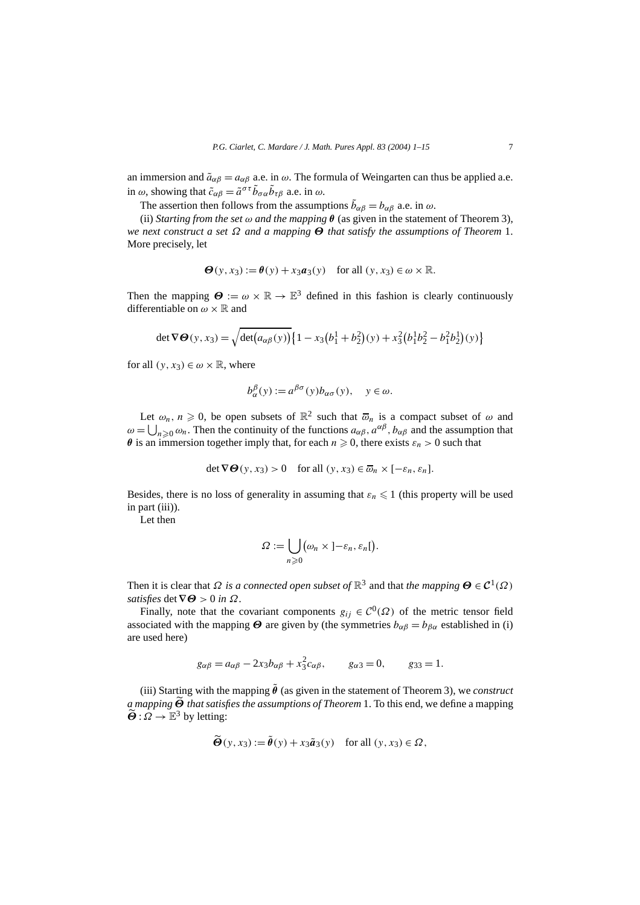an immersion and  $\tilde{a}_{\alpha\beta} = a_{\alpha\beta}$  a.e. in  $\omega$ . The formula of Weingarten can thus be applied a.e. in  $\omega$ , showing that  $\tilde{c}_{\alpha\beta} = \tilde{a}^{\sigma\tau} \tilde{b}_{\sigma\alpha} \tilde{b}_{\tau\beta}$  a.e. in  $\omega$ .

The assertion then follows from the assumptions  $\tilde{b}_{\alpha\beta} = b_{\alpha\beta}$  a.e. in  $\omega$ .

(ii) *Starting from the set ω and the mapping θ* (as given in the statement of Theorem 3), *we next construct a set Ω and a mapping Θ that satisfy the assumptions of Theorem* 1. More precisely, let

$$
\Theta(y, x_3) := \theta(y) + x_3 a_3(y) \quad \text{for all } (y, x_3) \in \omega \times \mathbb{R}.
$$

Then the mapping  $\Theta := \omega \times \mathbb{R} \to \mathbb{E}^3$  defined in this fashion is clearly continuously differentiable on *ω* × R and

$$
\det \nabla \Theta(y, x_3) = \sqrt{\det(a_{\alpha\beta}(y))} \{1 - x_3(b_1^1 + b_2^2)(y) + x_3^2(b_1^1b_2^2 - b_1^2b_2^1)(y)\}
$$

for all  $(y, x_3) \in \omega \times \mathbb{R}$ , where

$$
b_{\alpha}^{\beta}(y) := a^{\beta \sigma}(y) b_{\alpha \sigma}(y), \quad y \in \omega.
$$

Let  $\omega_n$ ,  $n \geq 0$ , be open subsets of  $\mathbb{R}^2$  such that  $\overline{\omega}_n$  is a compact subset of  $\omega$  and  $\omega = \bigcup_{n \geq 0} \omega_n$ . Then the continuity of the functions  $a_{\alpha\beta}$ ,  $a^{\alpha\beta}$ ,  $b_{\alpha\beta}$  and the assumption that *θ* is an immersion together imply that, for each  $n \ge 0$ , there exists  $\varepsilon_n > 0$  such that

$$
\det \nabla \Theta(y, x_3) > 0 \quad \text{for all } (y, x_3) \in \overline{\omega}_n \times [-\varepsilon_n, \varepsilon_n].
$$

Besides, there is no loss of generality in assuming that  $\varepsilon_n \leq 1$  (this property will be used in part (iii)).

Let then

$$
\Omega := \bigcup_{n \geq 0} (\omega_n \times (-\varepsilon_n, \varepsilon_n[).
$$

Then it is clear that  $\Omega$  *is a connected open subset of*  $\mathbb{R}^3$  and that *the mapping*  $\Theta \in C^1(\Omega)$ *satisfies* det  $\nabla \Theta > 0$  *in*  $\Omega$ *.* 

Finally, note that the covariant components  $g_{ij} \in C^0(\Omega)$  of the metric tensor field associated with the mapping  $\Theta$  are given by (the symmetries  $b_{\alpha\beta} = b_{\beta\alpha}$  established in (i) are used here)

$$
g_{\alpha\beta} = a_{\alpha\beta} - 2x_3 b_{\alpha\beta} + x_3^2 c_{\alpha\beta}, \qquad g_{\alpha 3} = 0, \qquad g_{33} = 1.
$$

(iii) Starting with the mapping  $\tilde{\theta}$  (as given in the statement of Theorem 3), we *construct a mapping Θ that satisfies the assumptions of Theorem* 1. To this end, we define a mapping  $\widetilde{\boldsymbol{\Theta}}$  :  $\Omega \to \mathbb{E}^3$  by letting:

$$
\widetilde{\Theta}(y, x_3) := \widetilde{\theta}(y) + x_3 \widetilde{a}_3(y) \quad \text{for all } (y, x_3) \in \Omega,
$$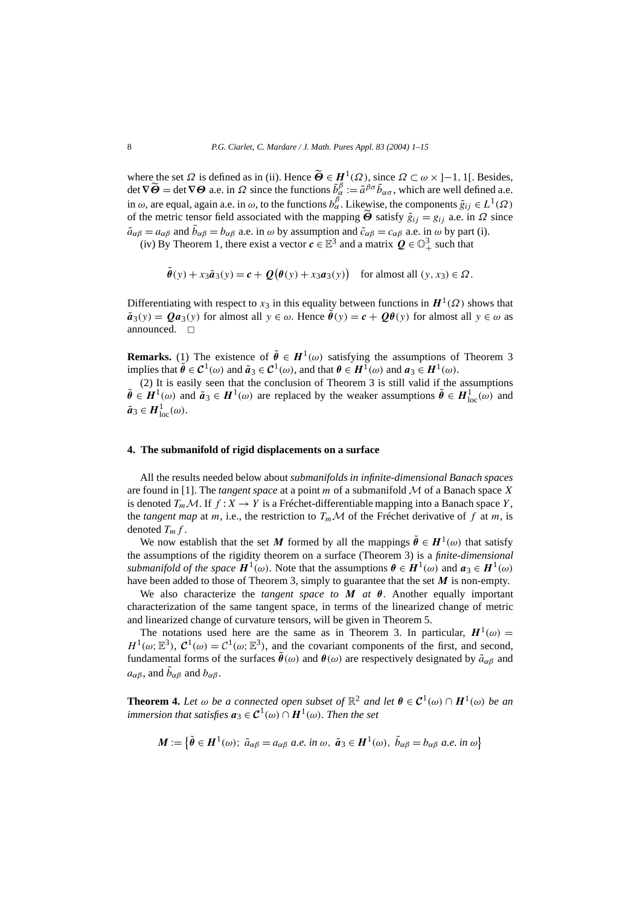where the set  $\Omega$  is defined as in (ii). Hence  $\widetilde{\Theta} \in H^1(\Omega)$ , since  $\Omega \subset \omega \times [-1, 1]$ . Besides, det  $\nabla \widetilde{\Theta} = \det \nabla \Theta$  a.e. in  $\Omega$  since the functions  $\tilde{b}^{\beta}_{\alpha} := \tilde{a}^{\beta \sigma} \tilde{b}_{\alpha \sigma}$ , which are well defined a.e. in  $\omega$ , are equal, again a.e. in  $\omega$ , to the functions  $b_{\alpha}^{\beta}$ . Likewise, the components  $\tilde{g}_{ij} \in L^1(\Omega)$ of the metric tensor field associated with the mapping  $\ddot{\Theta}$  satisfy  $\tilde{g}_{ij} = g_{ij}$  a.e. in  $\Omega$  since  $\tilde{a}_{\alpha\beta} = a_{\alpha\beta}$  and  $\tilde{b}_{\alpha\beta} = b_{\alpha\beta}$  a.e. in  $\omega$  by assumption and  $\tilde{c}_{\alpha\beta} = c_{\alpha\beta}$  a.e. in  $\omega$  by part (i).

(iv) By Theorem 1, there exist a vector  $c \in \mathbb{E}^3$  and a matrix  $Q \in \mathbb{O}^3_+$  such that

$$
\tilde{\boldsymbol{\theta}}(y) + x_3 \tilde{\boldsymbol{a}}_3(y) = \boldsymbol{c} + \mathcal{Q}(\boldsymbol{\theta}(y) + x_3 \boldsymbol{a}_3(y)) \quad \text{for almost all } (y, x_3) \in \Omega.
$$

Differentiating with respect to  $x_3$  in this equality between functions in  $H^1(\Omega)$  shows that  $\tilde{a}_3(y) = Qa_3(y)$  for almost all  $y \in \omega$ . Hence  $\tilde{\theta}(y) = c + Q\theta(y)$  for almost all  $y \in \omega$  as announced.  $\square$ 

**Remarks.** (1) The existence of  $\tilde{\theta} \in H^1(\omega)$  satisfying the assumptions of Theorem 3 implies that  $\tilde{\theta} \in C^1(\omega)$  and  $\tilde{a}_3 \in C^1(\omega)$ , and that  $\theta \in H^1(\omega)$  and  $a_3 \in H^1(\omega)$ .

 $(2)$  It is easily seen that the conclusion of Theorem 3 is still valid if the assumptions  $\tilde{\theta} \in H^1(\omega)$  and  $\tilde{a}_3 \in H^1(\omega)$  are replaced by the weaker assumptions  $\tilde{\theta} \in H^1_{loc}(\omega)$  and  $\tilde{a}_3 \in H_{\text{loc}}^1(\omega)$ .

### **4. The submanifold of rigid displacements on a surface**

All the results needed below about *submanifolds in infinite-dimensional Banach spaces* are found in [1]. The *tangent space* at a point *m* of a submanifold M of a Banach space *X* is denoted  $T_m \mathcal{M}$ . If  $f : X \to Y$  is a Fréchet-differentiable mapping into a Banach space *Y*, the *tangent map* at *m*, i.e., the restriction to  $T_m\mathcal{M}$  of the Fréchet derivative of f at *m*, is denoted  $T_m f$ .

We now establish that the set *M* formed by all the mappings  $\tilde{\theta} \in H^1(\omega)$  that satisfy the assumptions of the rigidity theorem on a surface (Theorem 3) is a *finite-dimensional submanifold of the space*  $H^1(\omega)$ . Note that the assumptions  $\theta \in H^1(\omega)$  and  $a_3 \in H^1(\omega)$ have been added to those of Theorem 3, simply to guarantee that the set *M* is non-empty.

We also characterize the *tangent space to*  $M$  *at*  $\theta$ . Another equally important characterization of the same tangent space, in terms of the linearized change of metric and linearized change of curvature tensors, will be given in Theorem 5.

The notations used here are the same as in Theorem 3. In particular,  $H^1(\omega)$  =  $H^1(\omega;\mathbb{E}^3)$ ,  $C^1(\omega) = C^1(\omega;\mathbb{E}^3)$ , and the covariant components of the first, and second, fundamental forms of the surfaces  $\tilde{\theta}(\omega)$  and  $\theta(\omega)$  are respectively designated by  $\tilde{a}_{\alpha\beta}$  and  $a_{\alpha\beta}$ , and  $\tilde{b}_{\alpha\beta}$  and  $b_{\alpha\beta}$ .

**Theorem 4.** Let  $\omega$  be a connected open subset of  $\mathbb{R}^2$  and let  $\theta \in C^1(\omega) \cap H^1(\omega)$  be an *immersion that satisfies*  $a_3 \in C^1(\omega) \cap H^1(\omega)$ *. Then the set* 

$$
M := \{ \tilde{\theta} \in H^1(\omega) ; \ \tilde{a}_{\alpha\beta} = a_{\alpha\beta} \ a.e. \ in \ \omega, \ \tilde{a}_3 \in H^1(\omega), \ \tilde{b}_{\alpha\beta} = b_{\alpha\beta} \ a.e. \ in \ \omega \}
$$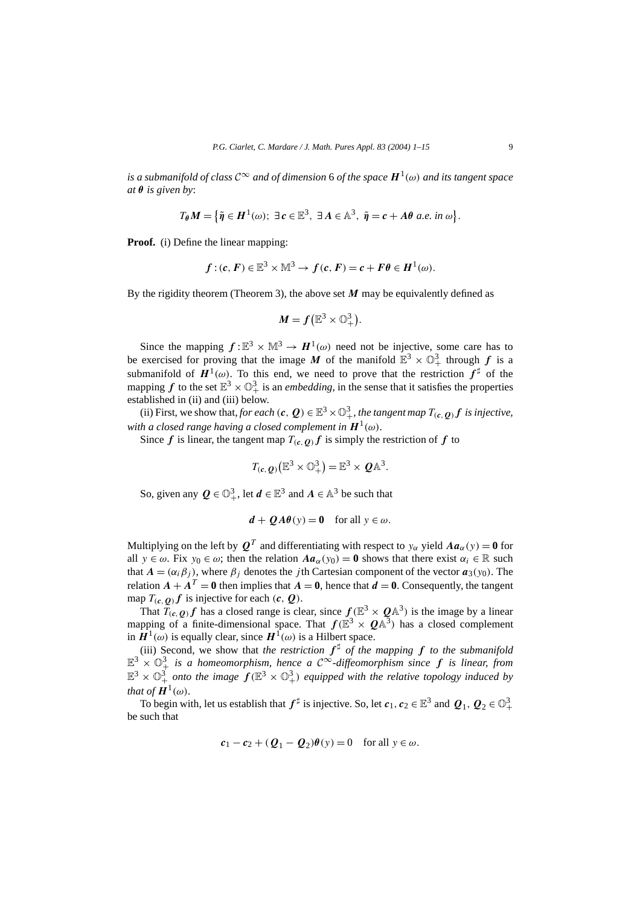*is a submanifold of class*  $C^{\infty}$  *and of dimension* 6 *of the space*  $H^1(\omega)$  *and its tangent space at θ is given by*:

$$
T_{\theta}M = \left\{ \tilde{\eta} \in H^{1}(\omega); \ \exists c \in \mathbb{E}^{3}, \ \exists A \in \mathbb{A}^{3}, \ \tilde{\eta} = c + A\theta \ a.e. \ in \ \omega \right\}.
$$

**Proof.** (i) Define the linear mapping:

$$
f:(c, F) \in \mathbb{E}^3 \times \mathbb{M}^3 \to f(c, F) = c + F\theta \in H^1(\omega).
$$

By the rigidity theorem (Theorem 3), the above set *M* may be equivalently defined as

$$
M = f\left(\mathbb{E}^3 \times \mathbb{O}^3_+\right).
$$

Since the mapping  $f: \mathbb{E}^3 \times \mathbb{M}^3 \to H^1(\omega)$  need not be injective, some care has to be exercised for proving that the image M of the manifold  $\mathbb{E}^3 \times \mathbb{O}^3_+$  through f is a submanifold of  $H^1(\omega)$ . To this end, we need to prove that the restriction  $f^{\sharp}$  of the mapping  $f$  to the set  $\mathbb{E}^3 \times \mathbb{O}^3_+$  is an *embedding*, in the sense that it satisfies the properties established in (ii) and (iii) below.

(ii) First, we show that, *for each*  $(c, Q) \in \mathbb{E}^3 \times \mathbb{O}^3_+$ , *the tangent map*  $T_{(c, Q)} f$  *is injective*, *with a closed range having a closed complement in*  $H^1(\omega)$ .

Since *f* is linear, the tangent map  $T(c, q)$  *f* is simply the restriction of *f* to

$$
T_{(c,\,Q)}(\mathbb{E}^3\times\mathbb{O}^3_+) = \mathbb{E}^3\times\,Q\mathbb{A}^3.
$$

So, given any  $Q \in \mathbb{O}_{+}^{3}$ , let  $d \in \mathbb{E}^{3}$  and  $A \in \mathbb{A}^{3}$  be such that

$$
d + QA\theta(y) = 0 \quad \text{for all } y \in \omega.
$$

Multiplying on the left by  $Q^T$  and differentiating with respect to  $y_\alpha$  yield  $Aa_\alpha(y) = 0$  for all  $y \in \omega$ . Fix  $y_0 \in \omega$ ; then the relation  $Aa_\alpha(y_0) = 0$  shows that there exist  $\alpha_i \in \mathbb{R}$  such that  $A = (\alpha_i \beta_i)$ , where  $\beta_i$  denotes the *j*th Cartesian component of the vector  $a_3(y_0)$ . The relation  $A + A^T = 0$  then implies that  $A = 0$ , hence that  $d = 0$ . Consequently, the tangent map  $T_{(c, Q)} f$  is injective for each  $(c, Q)$ .

That  $T(c, q)$  has a closed range is clear, since  $f(\mathbb{E}^3 \times \mathbb{Q} \mathbb{A}^3)$  is the image by a linear mapping of a finite-dimensional space. That  $f(\mathbb{E}^3 \times Q \mathbb{A}^3)$  has a closed complement in  $H^1(\omega)$  is equally clear, since  $H^1(\omega)$  is a Hilbert space.

(iii) Second, we show that *the restriction*  $f^{\sharp}$  *of the mapping*  $f$  *to the submanifold*  $\mathbb{E}^3$  ×  $\mathbb{O}^3$  *is a homeomorphism, hence a C*∞-diffeomorphism since f is linear, from  $\mathbb{E}^3 \times \mathbb{O}^3_+$  onto the image  $f(\mathbb{E}^3 \times \mathbb{O}^3_+)$  equipped with the relative topology induced by *that of*  $H^1(\omega)$ *.* 

To begin with, let us establish that  $f^{\sharp}$  is injective. So, let  $c_1, c_2 \in \mathbb{E}^3$  and  $Q_1, Q_2 \in \mathbb{O}^3_+$ be such that

$$
c_1 - c_2 + (Q_1 - Q_2)\theta(y) = 0
$$
 for all  $y \in \omega$ .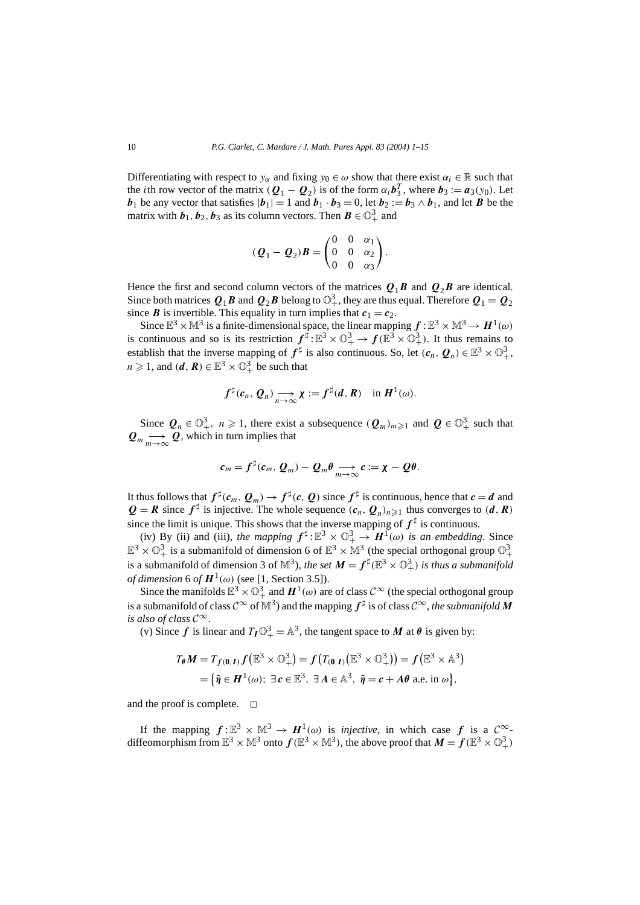Differentiating with respect to  $y_\alpha$  and fixing  $y_0 \in \omega$  show that there exist  $\alpha_i \in \mathbb{R}$  such that the *i*th row vector of the matrix  $(Q_1 - Q_2)$  is of the form  $\alpha_i \mathbf{b}_3^T$ , where  $\mathbf{b}_3 := \mathbf{a}_3(y_0)$ . Let *b*<sub>1</sub> be any vector that satisfies  $|b_1| = 1$  and  $b_1 \cdot b_3 = 0$ , let  $b_2 := b_3 \wedge b_1$ , and let *B* be the matrix with  $\boldsymbol{b}_1, \boldsymbol{b}_2, \boldsymbol{b}_3$  as its column vectors. Then  $\boldsymbol{B} \in \mathbb{O}^3_+$  and

$$
(\boldsymbol{Q}_1-\boldsymbol{Q}_2)\boldsymbol{B} = \begin{pmatrix} 0 & 0 & \alpha_1 \\ 0 & 0 & \alpha_2 \\ 0 & 0 & \alpha_3 \end{pmatrix}.
$$

Hence the first and second column vectors of the matrices  $Q_1B$  and  $Q_2B$  are identical. Since both matrices  $Q_1B$  and  $Q_2B$  belong to  $\mathbb{O}^3_+$ , they are thus equal. Therefore  $Q_1=Q_2$ since *B* is invertible. This equality in turn implies that  $c_1 = c_2$ .

Since  $\mathbb{E}^3 \times \mathbb{M}^3$  is a finite-dimensional space, the linear mapping  $f : \mathbb{E}^3 \times \mathbb{M}^3 \to H^1(\omega)$ is continuous and so is its restriction  $f^{\sharp}:\mathbb{E}^3 \times \mathbb{O}^3_+ \to f(\mathbb{E}^3 \times \mathbb{O}^3_+)$ . It thus remains to establish that the inverse mapping of  $f^{\sharp}$  is also continuous. So, let  $(c_n, Q_n) \in \mathbb{E}^3 \times \mathbb{O}^3_+$ ,  $n \geq 1$ , and  $(d, R) \in \mathbb{E}^3 \times \mathbb{O}^3_+$  be such that

$$
f^{\sharp}(c_n, Q_n) \longrightarrow_{n \to \infty} \chi := f^{\sharp}(d, R) \text{ in } H^1(\omega).
$$

Since  $Q_n \in \mathbb{O}_{+}^3$ ,  $n \ge 1$ , there exist a subsequence  $(Q_m)_{m \ge 1}$  and  $Q \in \mathbb{O}_{+}^3$  such that  $Q_m \longrightarrow Q$ , which in turn implies that

$$
c_m = f^{\sharp}(c_m, Q_m) - Q_m \theta \underset{m \to \infty}{\longrightarrow} c := \chi - Q \theta.
$$

It thus follows that  $f^{\sharp}(c_m, Q_m) \to f^{\sharp}(c, Q)$  since  $f^{\sharp}$  is continuous, hence that  $c = d$  and  $Q = R$  since  $f^{\sharp}$  is injective. The whole sequence  $(c_n, Q_n)_{n \geq 1}$  thus converges to  $(d, R)$ since the limit is unique. This shows that the inverse mapping of  $f^{\sharp}$  is continuous.

(iv) By (ii) and (iii), *the mapping*  $f^{\sharp}$ :  $\mathbb{E}^{3} \times \mathbb{O}_{+}^{3} \to H^{1}(\omega)$  *is an embedding*. Since  $\mathbb{E}^3 \times \mathbb{O}^3_+$  is a submanifold of dimension 6 of  $\mathbb{E}^3 \times \mathbb{M}^3$  (the special orthogonal group  $\mathbb{O}^3_+$ is a submanifold of dimension 3 of  $\mathbb{M}^3$ ), *the set*  $M = f^{\sharp}(\mathbb{E}^3 \times \mathbb{O}^3_+)$  *is thus a submanifold of dimension* 6 *of*  $H^1(\omega)$  (see [1, Section 3.5]).

Since the manifolds  $\mathbb{E}^3 \times \mathbb{O}^3_+$  and  $H^1(\omega)$  are of class  $\mathcal{C}^\infty$  (the special orthogonal group is a submanifold of class  $C^{\infty}$  of  $\mathbb{M}^{3}$ ) and the mapping  $f^{\sharp}$  is of class  $C^{\infty}$ , *the submanifold M is also of class*  $C^{\infty}$ .

(v) Since *f* is linear and  $T_I \mathbb{O}_{+}^3 = \mathbb{A}^3$ , the tangent space to *M* at  $\theta$  is given by:

$$
T_{\theta}M = T_{f(0,I)}f(\mathbb{E}^{3} \times \mathbb{O}_{+}^{3}) = f(T_{(0,I)}(\mathbb{E}^{3} \times \mathbb{O}_{+}^{3})) = f(\mathbb{E}^{3} \times \mathbb{A}^{3})
$$
  
= { $\tilde{\eta} \in H^{1}(\omega)$ ;  $\exists c \in \mathbb{E}^{3}$ ,  $\exists A \in \mathbb{A}^{3}$ ,  $\tilde{\eta} = c + A\theta$  a.e. in  $\omega$  },

and the proof is complete.  $\square$ 

If the mapping  $f: \mathbb{E}^3 \times \mathbb{M}^3 \to H^1(\omega)$  is *injective*, in which case f is a  $\mathcal{C}^{\infty}$ diffeomorphism from  $\mathbb{E}^3 \times \mathbb{M}^3$  onto  $f(\mathbb{E}^3 \times \mathbb{M}^3)$ , the above proof that  $M = f(\mathbb{E}^3 \times \mathbb{O}^3_+)$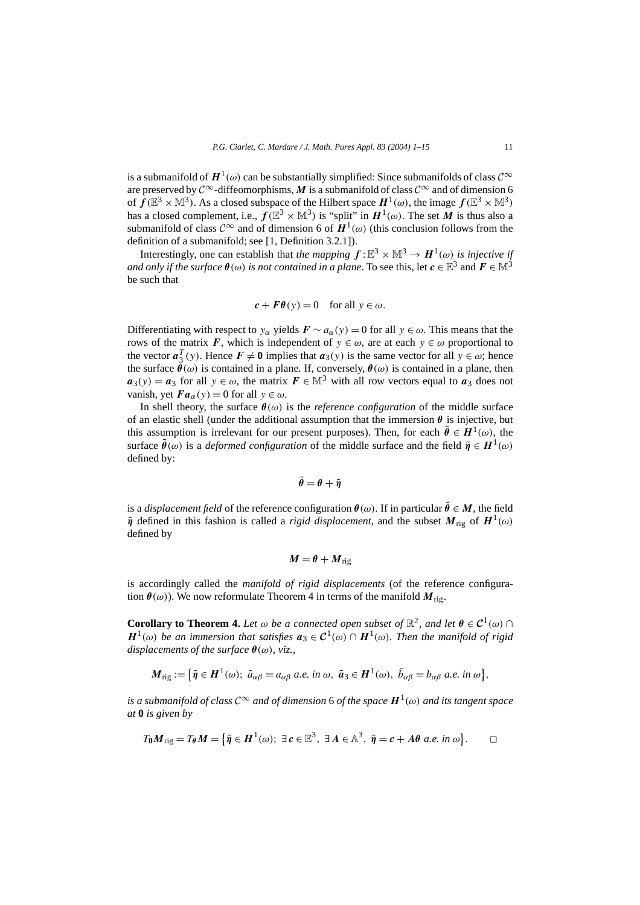is a submanifold of  $H^1(\omega)$  can be substantially simplified: Since submanifolds of class  $\mathcal{C}^\infty$ are preserved by  $\mathcal{C}^{\infty}$ -diffeomorphisms, M is a submanifold of class  $\mathcal{C}^{\infty}$  and of dimension 6 of  $f(\mathbb{E}^3 \times \mathbb{M}^3)$ . As a closed subspace of the Hilbert space  $H^1(\omega)$ , the image  $f(\mathbb{E}^3 \times \mathbb{M}^3)$ has a closed complement, i.e.,  $f(\mathbb{E}^3 \times \mathbb{M}^3)$  is "split" in  $H^1(\omega)$ . The set *M* is thus also a submanifold of class  $\mathcal{C}^{\infty}$  and of dimension 6 of  $\mathbf{H}^1(\omega)$  (this conclusion follows from the definition of a submanifold; see [1, Definition 3.2.1]).

Interestingly, one can establish that *the mapping*  $f : \mathbb{E}^3 \times \mathbb{M}^3 \to H^1(\omega)$  *is injective if and only if the surface*  $\theta(\omega)$  *is not contained in a plane.* To see this, let  $c \in \mathbb{E}^3$  and  $F \in \mathbb{M}^3$ be such that

$$
c + F\theta(y) = 0
$$
 for all  $y \in \omega$ .

Differentiating with respect to *y<sub>α</sub>* yields  $F \sim a_{\alpha}(y) = 0$  for all  $y \in \omega$ . This means that the rows of the matrix *F*, which is independent of  $y \in \omega$ , are at each  $y \in \omega$  proportional to the vector  $a_3^T(y)$ . Hence  $F \neq 0$  implies that  $a_3(y)$  is the same vector for all  $y \in \omega$ ; hence the surface  $\hat{\theta}(\omega)$  is contained in a plane. If, conversely,  $\theta(\omega)$  is contained in a plane, then  $a_3(y) = a_3$  for all  $y \in \omega$ , the matrix  $F \in M^3$  with all row vectors equal to  $a_3$  does not vanish, yet  $\mathbf{Fa}_{\alpha}(y) = 0$  for all  $y \in \omega$ .

In shell theory, the surface  $\theta(\omega)$  is the *reference configuration* of the middle surface of an elastic shell (under the additional assumption that the immersion  $\theta$  is injective, but this assumption is irrelevant for our present purposes). Then, for each  $\tilde{\theta} \in H^1(\omega)$ , the surface  $\hat{\theta}(\omega)$  is a *deformed configuration* of the middle surface and the field  $\tilde{\eta} \in H^1(\omega)$ defined by:

$$
\tilde{\theta} = \theta + \tilde{\eta}
$$

is a *displacement field* of the reference configuration  $\theta(\omega)$ . If in particular  $\tilde{\theta} \in M$ , the field  $\tilde{\eta}$  defined in this fashion is called a *rigid displacement*, and the subset  $M_{\text{rig}}$  of  $H^1(\omega)$ defined by

$$
M=\theta+{M}_{\rm rig}
$$

is accordingly called the *manifold of rigid displacements* (of the reference configuration  $\theta(\omega)$ ). We now reformulate Theorem 4 in terms of the manifold  $M_{\text{rig}}$ .

**Corollary to Theorem 4.** Let  $\omega$  be a connected open subset of  $\mathbb{R}^2$ , and let  $\theta \in C^1(\omega) \cap C$  $H^1(\omega)$  *be an immersion that satisfies*  $a_3 \in C^1(\omega) \cap H^1(\omega)$ *. Then the manifold of rigid displacements of the surface θ(ω), viz.,*

$$
\mathbf{M}_{\mathrm{rig}} := \{ \tilde{\boldsymbol{\eta}} \in \mathbf{H}^1(\omega); \; \tilde{a}_{\alpha\beta} = a_{\alpha\beta} \; a.e. \; \text{in } \omega, \; \tilde{\boldsymbol{a}}_3 \in \mathbf{H}^1(\omega), \; \tilde{b}_{\alpha\beta} = b_{\alpha\beta} \; a.e. \; \text{in } \omega \},
$$

*is a submanifold of class*  $C^{\infty}$  *and of dimension* 6 *of the space*  $H^{1}(\omega)$  *and its tangent space at* **0** *is given by*

$$
T_0M_{\text{rig}}=T_{\theta}M=\big\{\tilde{\eta}\in H^1(\omega);\ \exists\,c\in\mathbb{E}^3,\ \exists\,A\in\mathbb{A}^3,\ \tilde{\eta}=c+A\theta\ a.e.\ in\ \omega\big\}.\qquad\Box
$$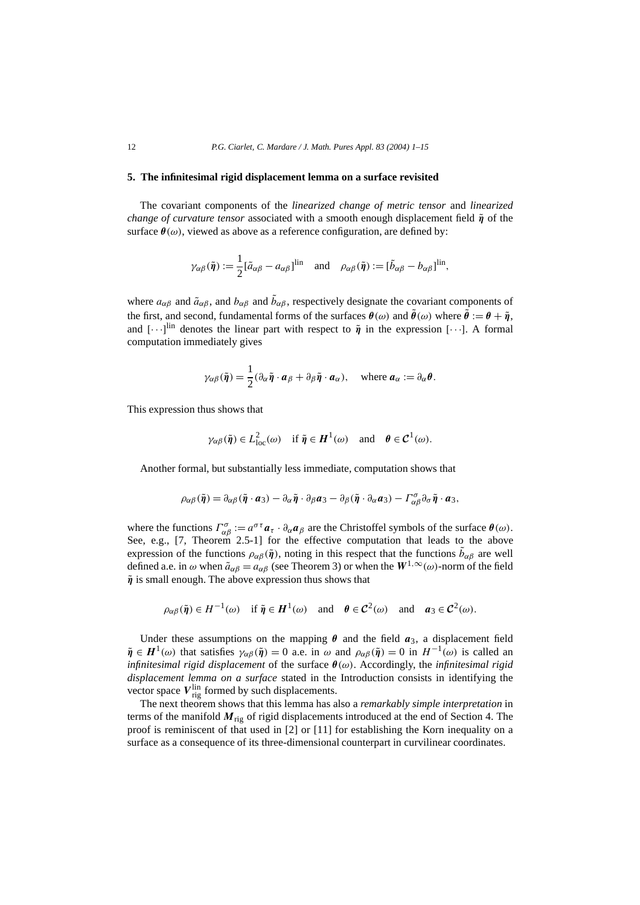## **5. The infinitesimal rigid displacement lemma on a surface revisited**

The covariant components of the *linearized change of metric tensor* and *linearized change of curvature tensor* associated with a smooth enough displacement field  $\tilde{\eta}$  of the surface  $\theta(\omega)$ , viewed as above as a reference configuration, are defined by:

$$
\gamma_{\alpha\beta}(\tilde{\boldsymbol{\eta}}) := \frac{1}{2} [\tilde{a}_{\alpha\beta} - a_{\alpha\beta}]^{\text{lin}}
$$
 and  $\rho_{\alpha\beta}(\tilde{\boldsymbol{\eta}}) := [\tilde{b}_{\alpha\beta} - b_{\alpha\beta}]^{\text{lin}}$ ,

where  $a_{\alpha\beta}$  and  $\tilde{a}_{\alpha\beta}$ , and  $b_{\alpha\beta}$  and  $\tilde{b}_{\alpha\beta}$ , respectively designate the covariant components of the first, and second, fundamental forms of the surfaces  $\theta(\omega)$  and  $\tilde{\theta}(\omega)$  where  $\tilde{\theta} := \theta + \tilde{\eta}$ , and  $[\cdots]^{lin}$  denotes the linear part with respect to  $\tilde{\eta}$  in the expression [ $\cdots$ ]. A formal computation immediately gives

$$
\gamma_{\alpha\beta}(\tilde{\boldsymbol{\eta}}) = \frac{1}{2} (\partial_{\alpha} \tilde{\boldsymbol{\eta}} \cdot \boldsymbol{a}_{\beta} + \partial_{\beta} \tilde{\boldsymbol{\eta}} \cdot \boldsymbol{a}_{\alpha}), \quad \text{where } \boldsymbol{a}_{\alpha} := \partial_{\alpha} \boldsymbol{\theta}.
$$

This expression thus shows that

$$
\gamma_{\alpha\beta}(\tilde{\boldsymbol{\eta}}) \in L^2_{loc}(\omega)
$$
 if  $\tilde{\boldsymbol{\eta}} \in H^1(\omega)$  and  $\boldsymbol{\theta} \in C^1(\omega)$ .

Another formal, but substantially less immediate, computation shows that

$$
\rho_{\alpha\beta}(\tilde{\boldsymbol{\eta}}) = \partial_{\alpha\beta}(\tilde{\boldsymbol{\eta}} \cdot \boldsymbol{a}_3) - \partial_{\alpha}\tilde{\boldsymbol{\eta}} \cdot \partial_{\beta}\boldsymbol{a}_3 - \partial_{\beta}(\tilde{\boldsymbol{\eta}} \cdot \partial_{\alpha}\boldsymbol{a}_3) - \Gamma^{\sigma}_{\alpha\beta}\partial_{\sigma}\tilde{\boldsymbol{\eta}} \cdot \boldsymbol{a}_3,
$$

where the functions  $\Gamma^{\sigma}_{\alpha\beta} := a^{\sigma\tau} a_{\tau} \cdot \partial_{\alpha} a_{\beta}$  are the Christoffel symbols of the surface  $\theta(\omega)$ . See, e.g., [7, Theorem 2.5-1] for the effective computation that leads to the above expression of the functions  $\rho_{\alpha\beta}(\tilde{\pmb{\eta}})$ , noting in this respect that the functions  $\tilde{b}_{\alpha\beta}$  are well defined a.e. in  $\omega$  when  $\tilde{a}_{\alpha\beta} = a_{\alpha\beta}$  (see Theorem 3) or when the  $W^{1,\infty}(\omega)$ -norm of the field  $\tilde{\eta}$  is small enough. The above expression thus shows that

$$
\rho_{\alpha\beta}(\tilde{\eta}) \in H^{-1}(\omega)
$$
 if  $\tilde{\eta} \in H^1(\omega)$  and  $\theta \in C^2(\omega)$  and  $a_3 \in C^2(\omega)$ .

Under these assumptions on the mapping  $\theta$  and the field  $a_3$ , a displacement field  $\tilde{\eta} \in H^1(\omega)$  that satisfies  $\gamma_{\alpha\beta}(\tilde{\eta}) = 0$  a.e. in  $\omega$  and  $\rho_{\alpha\beta}(\tilde{\eta}) = 0$  in  $H^{-1}(\omega)$  is called an *infinitesimal rigid displacement* of the surface *θ(ω)*. Accordingly, the *infinitesimal rigid displacement lemma on a surface* stated in the Introduction consists in identifying the vector space  $V_{\text{rig}}^{\text{lin}}$  formed by such displacements.

The next theorem shows that this lemma has also a *remarkably simple interpretation* in terms of the manifold  $M_{\text{rig}}$  of rigid displacements introduced at the end of Section 4. The proof is reminiscent of that used in [2] or [11] for establishing the Korn inequality on a surface as a consequence of its three-dimensional counterpart in curvilinear coordinates.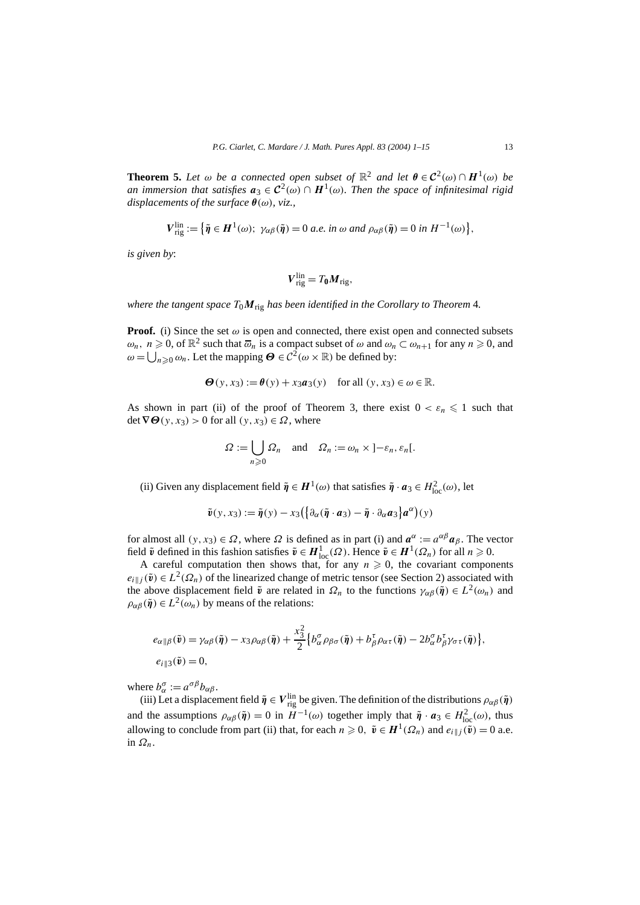**Theorem 5.** Let  $\omega$  be a connected open subset of  $\mathbb{R}^2$  and let  $\theta \in C^2(\omega) \cap H^1(\omega)$  be *an immersion that satisfies*  $a_3 \in C^2(\omega) \cap H^1(\omega)$ *. Then the space of infinitesimal rigid displacements of the surface θ(ω), viz.,*

$$
V_{\text{rig}}^{\text{lin}} := \left\{ \tilde{\eta} \in H^1(\omega); \ \gamma_{\alpha\beta}(\tilde{\eta}) = 0 \ a.e. \ in \ \omega \ and \ \rho_{\alpha\beta}(\tilde{\eta}) = 0 \ in \ H^{-1}(\omega) \right\},
$$

*is given by*:

$$
\boldsymbol{V}_{\mathrm{rig}}^{\mathrm{lin}} = T_0 \boldsymbol{M}_{\mathrm{rig}},
$$

*where the tangent space T*0*M*rig *has been identified in the Corollary to Theorem* 4*.*

**Proof.** (i) Since the set  $\omega$  is open and connected, there exist open and connected subsets  $\omega_n$ ,  $n \geq 0$ , of  $\mathbb{R}^2$  such that  $\overline{\omega}_n$  is a compact subset of  $\omega$  and  $\omega_n \subset \omega_{n+1}$  for any  $n \geq 0$ , and  $ω = ∪<sub>n≥0</sub> ω<sub>n</sub>$ . Let the mapping *Θ* ∈  $C<sup>2</sup>(ω × ℝ)$  be defined by:

$$
\Theta(y, x_3) := \theta(y) + x_3 a_3(y) \quad \text{for all } (y, x_3) \in \omega \in \mathbb{R}.
$$

As shown in part (ii) of the proof of Theorem 3, there exist  $0 < \varepsilon_n \leq 1$  such that  $\det \nabla \Theta(y, x_3) > 0$  for all  $(y, x_3) \in \Omega$ , where

$$
\Omega := \bigcup_{n \geq 0} \Omega_n \quad \text{and} \quad \Omega_n := \omega_n \times ]-\varepsilon_n, \varepsilon_n[.
$$

(ii) Given any displacement field  $\tilde{\eta} \in H^1(\omega)$  that satisfies  $\tilde{\eta} \cdot a_3 \in H^2_{loc}(\omega)$ , let

$$
\tilde{\mathbf{v}}(\mathbf{y},\mathbf{x}_3) := \tilde{\mathbf{\eta}}(\mathbf{y}) - \mathbf{x}_3 \big( \big\{ \partial_{\alpha} (\tilde{\mathbf{\eta}} \cdot \mathbf{a}_3) - \tilde{\mathbf{\eta}} \cdot \partial_{\alpha} \mathbf{a}_3 \big\} \mathbf{a}^{\alpha} \big) (\mathbf{y})
$$

for almost all  $(y, x_3) \in \Omega$ , where  $\Omega$  is defined as in part (i) and  $a^{\alpha} := a^{\alpha\beta} a_{\beta}$ . The vector field  $\tilde{v}$  defined in this fashion satisfies  $\tilde{v} \in H^1_{loc}(\Omega)$ . Hence  $\tilde{v} \in H^1(\Omega_n)$  for all  $n \geq 0$ .

A careful computation then shows that, for any  $n \geq 0$ , the covariant components  $e_i|_j(\tilde{\mathbf{v}}) \in L^2(\Omega_n)$  of the linearized change of metric tensor (see Section 2) associated with the above displacement field  $\tilde{v}$  are related in  $\Omega_n$  to the functions  $\gamma_{\alpha\beta}(\tilde{\eta}) \in L^2(\omega_n)$  and  $\rho_{\alpha\beta}(\tilde{\pmb{\eta}}) \in L^2(\omega_n)$  by means of the relations:

$$
e_{\alpha\|\beta}(\tilde{\mathbf{v}}) = \gamma_{\alpha\beta}(\tilde{\boldsymbol{\eta}}) - x_3 \rho_{\alpha\beta}(\tilde{\boldsymbol{\eta}}) + \frac{x_3^2}{2} \Big\{ b_{\alpha}^{\sigma} \rho_{\beta\sigma}(\tilde{\boldsymbol{\eta}}) + b_{\beta}^{\tau} \rho_{\alpha\tau}(\tilde{\boldsymbol{\eta}}) - 2b_{\alpha}^{\sigma} b_{\beta}^{\tau} \gamma_{\sigma\tau}(\tilde{\boldsymbol{\eta}}) \Big\},
$$
  

$$
e_{i\|\beta}(\tilde{\mathbf{v}}) = 0,
$$

where  $b_{\alpha}^{\sigma} := a^{\sigma \beta} b_{\alpha \beta}$ .

(iii) Let a displacement field  $\tilde{\eta} \in V_{\text{rig}}^{\text{lin}}$  be given. The definition of the distributions  $\rho_{\alpha\beta}(\tilde{\eta})$ and the assumptions  $\rho_{\alpha\beta}(\tilde{\pmb{\eta}}) = 0$  in  $H^{-1}(\omega)$  together imply that  $\tilde{\pmb{\eta}} \cdot \pmb{a}_3 \in H^2_{loc}(\omega)$ , thus allowing to conclude from part (ii) that, for each  $n \geq 0$ ,  $\tilde{v} \in H^1(\Omega_n)$  and  $e_i \mid i(\tilde{v}) = 0$  a.e. in *Ωn*.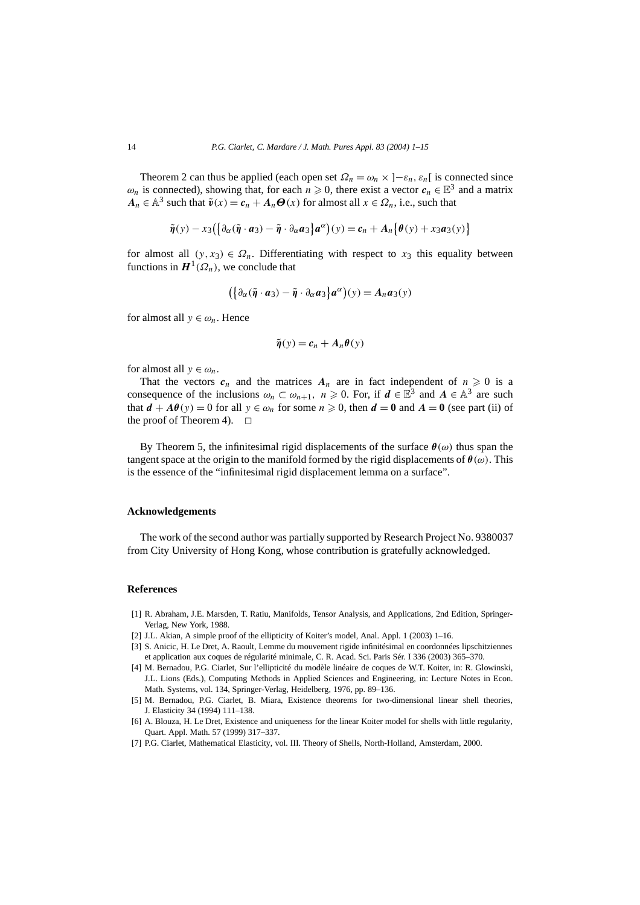Theorem 2 can thus be applied (each open set  $\Omega_n = \omega_n \times [-\varepsilon_n, \varepsilon_n]$  is connected since  $\omega_n$  is connected), showing that, for each  $n \geq 0$ , there exist a vector  $c_n \in \mathbb{E}^3$  and a matrix  $A_n \in \mathbb{A}^3$  such that  $\tilde{v}(x) = c_n + A_n \Theta(x)$  for almost all  $x \in \Omega_n$ , i.e., such that

$$
\tilde{\eta}(y) - x_3\left(\left\{\partial_\alpha(\tilde{\eta} \cdot \boldsymbol{a}_3) - \tilde{\eta} \cdot \partial_\alpha \boldsymbol{a}_3\right\} \boldsymbol{a}^\alpha\right)(y) = \boldsymbol{c}_n + A_n\left\{\theta(y) + x_3\boldsymbol{a}_3(y)\right\}
$$

for almost all  $(y, x_3) \in \Omega_n$ . Differentiating with respect to  $x_3$  this equality between functions in  $H^1(\Omega_n)$ , we conclude that

$$
(\{\partial_{\alpha}(\tilde{\boldsymbol{\eta}}\cdot\boldsymbol{a}_{3})-\tilde{\boldsymbol{\eta}}\cdot\partial_{\alpha}\boldsymbol{a}_{3}\}\boldsymbol{a}^{\alpha})(y)=A_{n}\boldsymbol{a}_{3}(y)
$$

for almost all  $y \in \omega_n$ . Hence

$$
\tilde{\eta}(y) = c_n + A_n \theta(y)
$$

for almost all  $y \in \omega_n$ .

That the vectors  $c_n$  and the matrices  $A_n$  are in fact independent of  $n \geq 0$  is a consequence of the inclusions  $\omega_n \subset \omega_{n+1}$ ,  $n \geq 0$ . For, if  $d \in \mathbb{E}^3$  and  $A \in \mathbb{A}^3$  are such that  $d + A\theta(y) = 0$  for all  $y \in \omega_n$  for some  $n \ge 0$ , then  $d = 0$  and  $A = 0$  (see part (ii) of the proof of Theorem 4).  $\Box$ 

By Theorem 5, the infinitesimal rigid displacements of the surface  $\theta(\omega)$  thus span the tangent space at the origin to the manifold formed by the rigid displacements of *θ(ω)*. This is the essence of the "infinitesimal rigid displacement lemma on a surface".

#### **Acknowledgements**

The work of the second author was partially supported by Research Project No. 9380037 from City University of Hong Kong, whose contribution is gratefully acknowledged.

#### **References**

- [1] R. Abraham, J.E. Marsden, T. Ratiu, Manifolds, Tensor Analysis, and Applications, 2nd Edition, Springer-Verlag, New York, 1988.
- [2] J.L. Akian, A simple proof of the ellipticity of Koiter's model, Anal. Appl. 1 (2003) 1–16.
- [3] S. Anicic, H. Le Dret, A. Raoult, Lemme du mouvement rigide infinitésimal en coordonnées lipschitziennes et application aux coques de régularité minimale, C. R. Acad. Sci. Paris Sér. I 336 (2003) 365–370.
- [4] M. Bernadou, P.G. Ciarlet, Sur l'ellipticité du modèle linéaire de coques de W.T. Koiter, in: R. Glowinski, J.L. Lions (Eds.), Computing Methods in Applied Sciences and Engineering, in: Lecture Notes in Econ. Math. Systems, vol. 134, Springer-Verlag, Heidelberg, 1976, pp. 89–136.
- [5] M. Bernadou, P.G. Ciarlet, B. Miara, Existence theorems for two-dimensional linear shell theories, J. Elasticity 34 (1994) 111–138.
- [6] A. Blouza, H. Le Dret, Existence and uniqueness for the linear Koiter model for shells with little regularity, Quart. Appl. Math. 57 (1999) 317–337.
- [7] P.G. Ciarlet, Mathematical Elasticity, vol. III. Theory of Shells, North-Holland, Amsterdam, 2000.